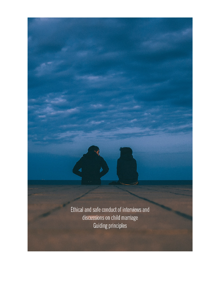Ethical and safe conduct of interviews and discussions on child marriage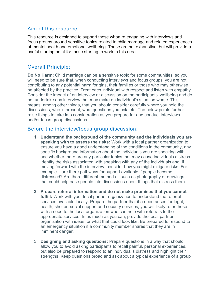### Aim of this resource:

This resource is designed to support those whoa re engaging with interviews and focus groups around sensitive topics related to child marriage and related experiences of mental health and emotional wellbeing. These are not exhaustive, but will provide a useful starting point for those starting to work in this area.

# Overall Principle:

**Do No Harm:** Child marriage can be a sensitive topic for some communities, so you will need to be sure that, when conducting interviews and focus groups, you are not contributing to any potential harm for girls, their families or those who may otherwise be affected by the practice. Treat each individual with respect and listen with empathy. Consider the impact of an interview or discussion on the participants' wellbeing and do not undertake any interview that may make an individual's situation worse. This means, among other things, that you should consider carefully where you hold the discussions, who is present, what questions you ask, etc. The below points further raise things to take into consideration as you prepare for and conduct interviews and/or focus group discussions.

### Before the interview/focus group discussion:

- 1. **Understand the background of the community and the individuals you are speaking with to assess the risks:** Work with a local partner organization to ensure you have a good understanding of the conditions in the community, any specific background information about the individuals you are speaking with, and whether there are any particular topics that may cause individuals distress. Identify the risks associated with speaking with any of the individuals and, if moving forward with the interview, consider how you might mitigate risks. For example – are there pathways for support available if people become distressed? Are there different methods – such as photography or drawings that could help ease people into discussions about things that distress them.
- **2. Prepare referral information and do not make promises that you cannot fulfill:** Work with your local partner organization to understand the referral services available locally. Prepare the partner that if a need arises for legal, health, shelter, social support and security services, you will likely refer those with a need to the local organization who can help with referrals to the appropriate services. In as much as you can, provide the local partner organization with ideas for what that could look like. Be prepared to respond to an emergency situation if a community member shares that they are in imminent danger.
- 3. **Designing and asking questions:** Prepare questions in a way that should allow you to avoid asking participants to recall painful, personal experiences, but also be prepared to respond to an individual's distress and highlight their strengths. Keep questions broad and ask about a typical experience of a group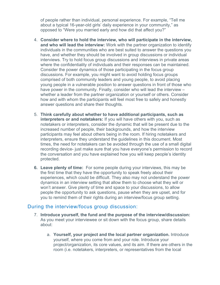of people rather than individual, personal experience. For example, "Tell me about a typical 16-year-old girls' daily experience in your community," as opposed to "Were you married early and how did that affect you?"

- 4. **Consider where to hold the interview, who will participate in the interview, and who will lead the interview:** Work with the partner organization to identify individuals in the communities who are best suited to answer the questions you have, and whether they should be involved in group discussions or individual interviews. Try to hold focus group discussions and interviews in private areas where the confidentiality of individuals and their responses can be maintained. Consider the power dynamics of those participating in the focus group discussions. For example, you might want to avoid holding focus groups comprised of both community leaders and young people, to avoid placing young people in a vulnerable position to answer questions in front of those who have power in the community. Finally, consider who will lead the interview – whether a leader from the partner organization or yourself or others. Consider how and with whom the participants will feel most free to safely and honestly answer questions and share their thoughts.
- 5. **Think carefully about whether to have additional participants, such as interpreters or and notetakers:** If you will have others with you, such as notetakers or interpreters, consider the dynamic that will be present due to the increased number of people, their backgrounds, and how the interview participants may feel about others being in the room. If hiring notetakers and interpreters, ensure they understand the guidelines in this document. Most times, the need for notetakers can be avoided through the use of a small digital recording device- just make sure that you have everyone's permission to record the conversation and you have explained how you will keep people's identity protected.
- **6. Leave plenty of time:** For some people during your interviews, this may be the first time that they have the opportunity to speak freely about their experiences, which could be difficult. They also may not understand the power dynamics in an interview setting that allow them to choose what they will or won't answer. Give plenty of time and space to your discussions, to allow people the opportunity to ask questions, pause when they are upset, and for you to remind them of their rights during an interview/focus group setting.

## During the interview/focus group discussion:

- 7. **Introduce yourself, the fund and the purpose of the interview/discussion:**  As you meet your interviewee or sit down with the focus group, share details about:
	- a. **Yourself, your project and the local partner organization.** Introduce yourself, where you come from and your role. Introduce your project/organization, its core values, and its aim. If there are others in the room (i.e. notetakers, interpreters, or representatives from the local